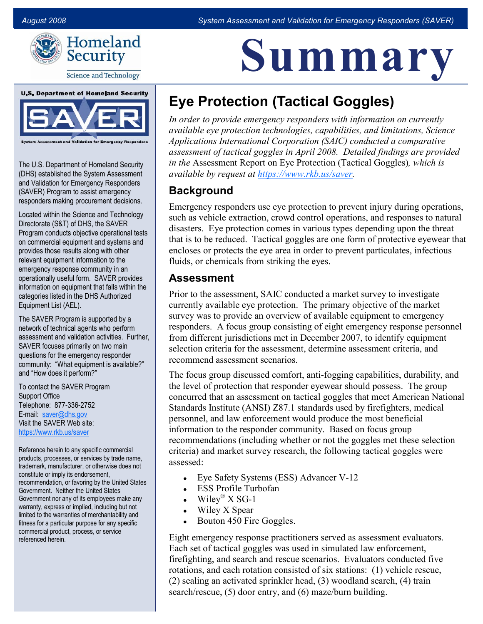<u>Le relative de la serie de la serie de la serie de la serie de la serie de la serie de la serie de la serie de </u>

Summary



**Science and Technology** 



The U.S. Department of Homeland Security (DHS) established the System Assessment and Validation for Emergency Responders (SAVER) Program to assist emergency responders making procurement decisions.

Located within the Science and Technology Directorate (S&T) of DHS, the SAVER Program conducts objective operational tests on commercial equipment and systems and provides those results along with other relevant equipment information to the emergency response community in an operationally useful form. SAVER provides information on equipment that falls within the categories listed in the DHS Authorized Equipment List (AEL).

The SAVER Program is supported by a network of technical agents who perform assessment and validation activities. Further, SAVER focuses primarily on two main questions for the emergency responder community: "What equipment is available?" and "How does it perform?"

To contact the SAVER Program Support Office Telephone: 877-336-2752 E-mail: [saver@dhs.gov](mailto:saver@dhs.gov) Visit the SAVER Web site: <https://www.rkb.us/saver>

Reference herein to any specific commercial products, processes, or services by trade name, trademark, manufacturer, or otherwise does not constitute or imply its endorsement, recommendation, or favoring by the United States Government. Neither the United States Government nor any of its employees make any warranty, express or implied, including but not limited to the warranties of merchantability and fitness for a particular purpose for any specific commercial product, process, or service referenced herein.

# Eye Protection (Tactical Goggles)

In order to provide emergency responders with information on currently available eye protection technologies, capabilities, and limitations, Science Applications International Corporation (SAIC) conducted a comparative assessment of tactical goggles in April 2008. Detailed findings are provided in the Assessment Report on Eye Protection (Tactical Goggles), which is available by request at https://www.rkb.us/saver.

# **Background**

Emergency responders use eye protection to prevent injury during operations, such as vehicle extraction, crowd control operations, and responses to natural disasters. Eye protection comes in various types depending upon the threat that is to be reduced. Tactical goggles are one form of protective eyewear that encloses or protects the eye area in order to prevent particulates, infectious fluids, or chemicals from striking the eyes.

### Assessment

 survey was to provide an overview of available equipment to emergency responders. A focus group consisting of eight emergency response personnel Prior to the assessment, SAIC conducted a market survey to investigate currently available eye protection. The primary objective of the market from different jurisdictions met in December 2007, to identify equipment selection criteria for the assessment, determine assessment criteria, and recommend assessment scenarios.

 concurred that an assessment on tactical goggles that meet American National information to the responder community. Based on focus group The focus group discussed comfort, anti-fogging capabilities, durability, and the level of protection that responder eyewear should possess. The group Standards Institute (ANSI) Z87.1 standards used by firefighters, medical personnel, and law enforcement would produce the most beneficial recommendations (including whether or not the goggles met these selection criteria) and market survey research, the following tactical goggles were assessed:

- Eye Safety Systems (ESS) Advancer V-12
- **ESS Profile Turbofan**
- Wiley<sup>®</sup> X SG-1
- Wiley X Spear
- $\bullet$  Bouton 450 Fire Goggles.

 Eight emergency response practitioners served as assessment evaluators. (2) sealing an activated sprinkler head, (3) woodland search, (4) train Each set of tactical goggles was used in simulated law enforcement, firefighting, and search and rescue scenarios. Evaluators conducted five rotations, and each rotation consisted of six stations: (1) vehicle rescue, search/rescue, (5) door entry, and (6) maze/burn building.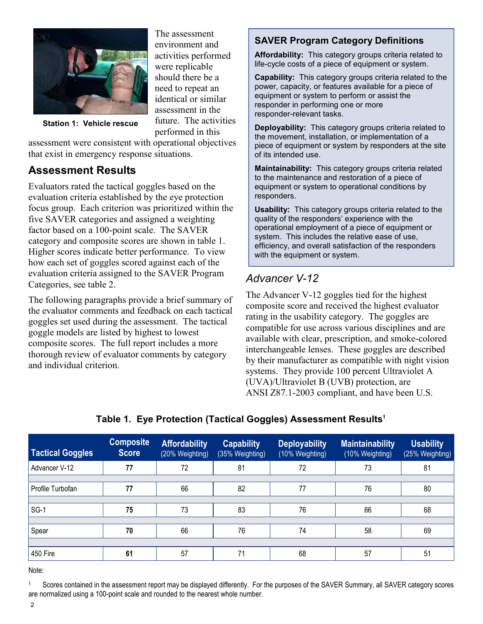

The assessment environment and activities performed were replicable should there be a need to repeat an identical or similar assessment in the future. The activities performed in this

Station 1: Vehicle rescue

assessment were consistent with operational objectives that exist in emergency response situations.

## Assessment Results

 five SAVER categories and assigned a weighting category and composite scores are shown in table 1. how each set of goggles scored against each of the Evaluators rated the tactical goggles based on the evaluation criteria established by the eye protection focus group. Each criterion was prioritized within the factor based on a 100-point scale. The SAVER Higher scores indicate better performance. To view evaluation criteria assigned to the SAVER Program Categories, see table 2.

 The following paragraphs provide a brief summary of the evaluator comments and feedback on each tactical goggles set used during the assessment. The tactical goggle models are listed by highest to lowest composite scores. The full report includes a more thorough review of evaluator comments by category and individual criterion.

### SAVER Program Category Definitions

Affordability: This category groups criteria related to life-cycle costs of a piece of equipment or system.

Capability: This category groups criteria related to the power, capacity, or features available for a piece of equipment or system to perform or assist the responder in performing one or more responder-relevant tasks.

Deployability: This category groups criteria related to the movement, installation, or implementation of a piece of equipment or system by responders at the site of its intended use.

Maintainability: This category groups criteria related to the maintenance and restoration of a piece of equipment or system to operational conditions by responders.

Usability: This category groups criteria related to the quality of the responders' experience with the operational employment of a piece of equipment or system. This includes the relative ease of use, efficiency, and overall satisfaction of the responders with the equipment or system.

# Advancer V-12

ration expressive score and received the ingliest evaluation<br>The tactical rating in the usability category. The goggles are by their manufacturer as compatible with night vision The Advancer V-12 goggles tied for the highest composite score and received the highest evaluator compatible for use across various disciplines and are available with clear, prescription, and smoke-colored interchangeable lenses. These goggles are described systems. They provide 100 percent Ultraviolet A (UVA)/Ultraviolet B (UVB) protection, are ANSI Z87.1-2003 compliant, and have been U.S.

| <b>Tactical Goggles</b> | <b>Composite</b><br><b>Score</b> | <b>Affordability</b><br>(20% Weighting) | <b>Capability</b><br>(35% Weighting) | <b>Deployability</b><br>(10% Weighting) | <b>Maintainability</b><br>(10% Weighting) | <b>Usability</b><br>(25% Weighting) |
|-------------------------|----------------------------------|-----------------------------------------|--------------------------------------|-----------------------------------------|-------------------------------------------|-------------------------------------|
| Advancer V-12           | 77                               | 72                                      | 81                                   | 72                                      | 73                                        | 81                                  |
|                         |                                  |                                         |                                      |                                         |                                           |                                     |
| Profile Turbofan        |                                  | 66                                      | 82                                   | 77                                      | 76                                        | 80                                  |
|                         |                                  |                                         |                                      |                                         |                                           |                                     |
| $SG-1$                  | 75                               | 73                                      | 83                                   | 76                                      | 66                                        | 68                                  |
|                         |                                  |                                         |                                      |                                         |                                           |                                     |
| Spear                   | 70                               | 66                                      | 76                                   | 74                                      | 58                                        | 69                                  |
|                         |                                  |                                         |                                      |                                         |                                           |                                     |
| 450 Fire                | 61                               | 57                                      | 71                                   | 68                                      | 57                                        | 51                                  |

Table 1. Eye Protection (Tactical Goggles) Assessment Results $^1$ 

Note:

 Scores contained in the assessment report may be displayed differently. For the purposes of the SAVER Summary, all SAVER category scores are normalized using a 100-point scale and rounded to the nearest whole number. 1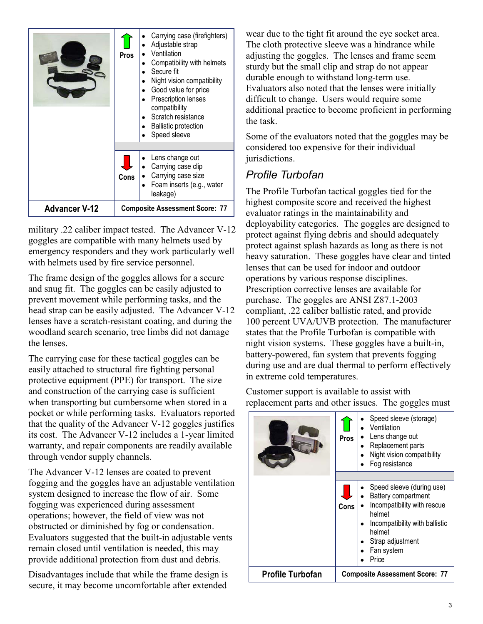|                      | <b>Pros</b>                           | Carrying case (firefighters)<br>Adjustable strap<br>Ventilation<br>Compatibility with helmets<br>Secure fit<br>Night vision compatibility<br>Good value for price<br>Prescription lenses<br>compatibility<br>Scratch resistance<br><b>Ballistic protection</b><br>Speed sleeve |  |  |
|----------------------|---------------------------------------|--------------------------------------------------------------------------------------------------------------------------------------------------------------------------------------------------------------------------------------------------------------------------------|--|--|
|                      | Cons                                  | Lens change out<br>Carrying case clip<br>Carrying case size<br>Foam inserts (e.g., water<br>leakage)                                                                                                                                                                           |  |  |
| <b>Advancer V-12</b> | <b>Composite Assessment Score: 77</b> |                                                                                                                                                                                                                                                                                |  |  |

 military .22 caliber impact tested. The Advancer V12 goggles are compatible with many helmets used by emergency responders and they work particularly well with helmets used by fire service personnel.

 The frame design of the goggles allows for a secure and snug fit. The goggles can be easily adjusted to head strap can be easily adjusted. The Advancer V-12 lenses have a scratch-resistant coating, and during the prevent movement while performing tasks, and the woodland search scenario, tree limbs did not damage the lenses.

 The carrying case for these tactical goggles can be that the quality of the Advancer V-12 goggles justifies easily attached to structural fire fighting personal protective equipment (PPE) for transport. The size and construction of the carrying case is sufficient when transporting but cumbersome when stored in a pocket or while performing tasks. Evaluators reported its cost. The Advancer V-12 includes a 1-year limited warranty, and repair components are readily available through vendor supply channels.

 fogging and the goggles have an adjustable ventilation The Advancer V-12 lenses are coated to prevent system designed to increase the flow of air. Some fogging was experienced during assessment operations; however, the field of view was not obstructed or diminished by fog or condensation. Evaluators suggested that the built-in adjustable vents remain closed until ventilation is needed, this may provide additional protection from dust and debris.

 secure, it may become uncomfortable after extended Disadvantages include that while the frame design is

 adjusting the goggles. The lenses and frame seem wear due to the tight fit around the eye socket area. The cloth protective sleeve was a hindrance while sturdy but the small clip and strap do not appear durable enough to withstand long-term use. Evaluators also noted that the lenses were initially difficult to change. Users would require some additional practice to become proficient in performing the task.

 Some of the evaluators noted that the goggles may be considered too expensive for their individual jurisdictions.

# Profile Turbofan

 protect against splash hazards as long as there is not heavy saturation. These goggles have clear and tinted Prescription corrective lenses are available for purchase. The goggles are ANSI Z87.1-2003 The Profile Turbofan tactical goggles tied for the highest composite score and received the highest evaluator ratings in the maintainability and deployability categories. The goggles are designed to protect against flying debris and should adequately lenses that can be used for indoor and outdoor operations by various response disciplines. compliant, .22 caliber ballistic rated, and provide 100 percent UVA/UVB protection. The manufacturer states that the Profile Turbofan is compatible with night vision systems. These goggles have a built-in, battery-powered, fan system that prevents fogging during use and are dual thermal to perform effectively in extreme cold temperatures.

 replacement parts and other issues. The goggles must Customer support is available to assist with

|                         | Pros                                  | Speed sleeve (storage)<br>Ventilation<br>Lens change out<br>Replacement parts<br>Night vision compatibility<br>Fog resistance                                                    |  |  |
|-------------------------|---------------------------------------|----------------------------------------------------------------------------------------------------------------------------------------------------------------------------------|--|--|
|                         |                                       |                                                                                                                                                                                  |  |  |
|                         | Cons                                  | Speed sleeve (during use)<br>Battery compartment<br>Incompatibility with rescue<br>helmet<br>Incompatibility with ballistic<br>helmet<br>Strap adjustment<br>Fan system<br>Price |  |  |
| <b>Profile Turbofan</b> | <b>Composite Assessment Score: 77</b> |                                                                                                                                                                                  |  |  |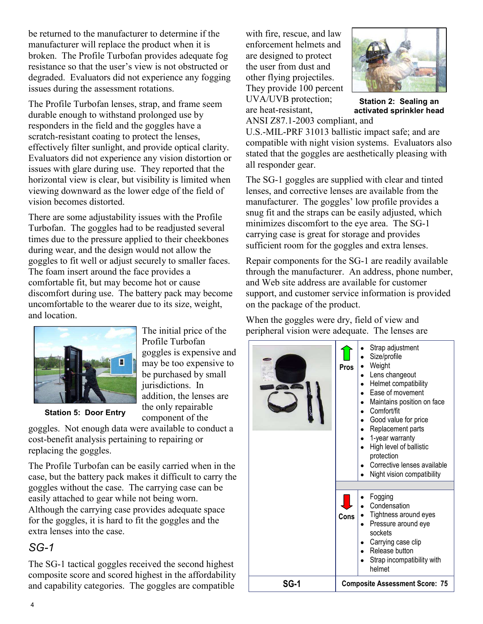broken. The Profile Turbofan provides adequate fog resistance so that the user's view is not obstructed or degraded. Evaluators did not experience any fogging be returned to the manufacturer to determine if the manufacturer will replace the product when it is issues during the assessment rotations.

 viewing downward as the lower edge of the field of The Profile Turbofan lenses, strap, and frame seem durable enough to withstand prolonged use by responders in the field and the goggles have a scratch-resistant coating to protect the lenses, effectively filter sunlight, and provide optical clarity. Evaluators did not experience any vision distortion or issues with glare during use. They reported that the horizontal view is clear, but visibility is limited when vision becomes distorted.

 There are some adjustability issues with the Profile The foam insert around the face provides a Turbofan. The goggles had to be readjusted several times due to the pressure applied to their cheekbones during wear, and the design would not allow the goggles to fit well or adjust securely to smaller faces. comfortable fit, but may become hot or cause discomfort during use. The battery pack may become uncomfortable to the wearer due to its size, weight, and location.



Station 5: Door Entry

The initial price of the Profile Turbofan goggles is expensive and may be too expensive to be purchased by small jurisdictions. In addition, the lenses are the only repairable component of the

goggles. Not enough data were available to conduct a cost-benefit analysis pertaining to repairing or replacing the goggles.

 The Profile Turbofan can be easily carried when in the case, but the battery pack makes it difficult to carry the easily attached to gear while not being worn. for the goggles, it is hard to fit the goggles and the goggles without the case. The carrying case can be Although the carrying case provides adequate space extra lenses into the case.

# $SG-1$

The SG-1 tactical goggles received the second highest composite score and scored highest in the affordability and capability categories. The goggles are compatible

with fire, rescue, and law enforcement helmets and are designed to protect the user from dust and other flying projectiles. They provide 100 percent UVA/UVB protection; are heat-resistant, ANSI Z87.1-2003 compliant, and



 Station 2: Sealing an activated sprinkler head

 compatible with night vision systems. Evaluators also stated that the goggles are aesthetically pleasing with U.S.MILPRF 31013 ballistic impact safe; and are all responder gear.

 lenses, and corrective lenses are available from the carrying case is great for storage and provides The SG-1 goggles are supplied with clear and tinted manufacturer. The goggles' low profile provides a snug fit and the straps can be easily adjusted, which minimizes discomfort to the eye area. The SG-1 sufficient room for the goggles and extra lenses.

Repair components for the SG-1 are readily available through the manufacturer. An address, phone number, and Web site address are available for customer support, and customer service information is provided on the package of the product.

 When the goggles were dry, field of view and peripheral vision were adequate. The lenses are

|             | Strap adjustment<br>Size/profile<br>Weight<br>Pros<br>Lens changeout<br>Helmet compatibility<br>Ease of movement<br>Maintains position on face<br>Comfort/fit<br>Good value for price<br>Replacement parts<br>1-year warranty<br>High level of ballistic<br>protection<br>Corrective lenses available<br>Night vision compatibility |  |  |
|-------------|-------------------------------------------------------------------------------------------------------------------------------------------------------------------------------------------------------------------------------------------------------------------------------------------------------------------------------------|--|--|
|             | Fogging<br>Condensation<br>Tightness around eyes<br>Cons<br>Pressure around eye<br>sockets<br>Carrying case clip<br>Release button<br>Strap incompatibility with<br>helmet                                                                                                                                                          |  |  |
| <b>SG-1</b> | <b>Composite Assessment Score: 75</b>                                                                                                                                                                                                                                                                                               |  |  |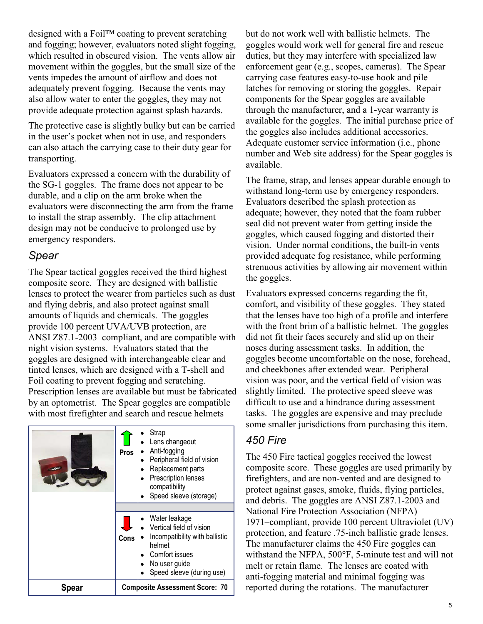movement within the goggles, but the small size of the also allow water to enter the goggles, they may not designed with a Foil™ coating to prevent scratching and fogging; however, evaluators noted slight fogging, which resulted in obscured vision. The vents allow air vents impedes the amount of airflow and does not adequately prevent fogging. Because the vents may provide adequate protection against splash hazards.

 The protective case is slightly bulky but can be carried can also attach the carrying case to their duty gear for in the user's pocket when not in use, and responders transporting.

 Evaluators expressed a concern with the durability of evaluators were disconnecting the arm from the frame the SG1 goggles. The frame does not appear to be durable, and a clip on the arm broke when the to install the strap assembly. The clip attachment design may not be conducive to prolonged use by emergency responders.

### Spear

 lenses to protect the wearer from particles such as dust amounts of liquids and chemicals. The goggles ANSI Z87.1-2003–compliant, and are compatible with goggles are designed with interchangeable clear and by an optometrist. The Spear goggles are compatible with most firefighter and search and rescue helmets The Spear tactical goggles received the third highest composite score. They are designed with ballistic and flying debris, and also protect against small provide 100 percent UVA/UVB protection, are night vision systems. Evaluators stated that the tinted lenses, which are designed with a T-shell and Foil coating to prevent fogging and scratching. Prescription lenses are available but must be fabricated



carrying case features easy-to-use hook and pile components for the Spear goggles are available number and Web site address) for the Spear goggles is but do not work well with ballistic helmets. The goggles would work well for general fire and rescue duties, but they may interfere with specialized law enforcement gear (e.g., scopes, cameras). The Spear latches for removing or storing the goggles. Repair through the manufacturer, and a 1-year warranty is available for the goggles. The initial purchase price of the goggles also includes additional accessories. Adequate customer service information (i.e., phone available.

 The frame, strap, and lenses appear durable enough to withstand long-term use by emergency responders. Evaluators described the splash protection as adequate; however, they noted that the foam rubber seal did not prevent water from getting inside the goggles, which caused fogging and distorted their vision. Under normal conditions, the built-in vents provided adequate fog resistance, while performing strenuous activities by allowing air movement within the goggles.

 noses during assessment tasks. In addition, the Evaluators expressed concerns regarding the fit, comfort, and visibility of these goggles. They stated that the lenses have too high of a profile and interfere with the front brim of a ballistic helmet. The goggles did not fit their faces securely and slid up on their goggles become uncomfortable on the nose, forehead, and cheekbones after extended wear. Peripheral vision was poor, and the vertical field of vision was slightly limited. The protective speed sleeve was difficult to use and a hindrance during assessment tasks. The goggles are expensive and may preclude some smaller jurisdictions from purchasing this item.

## 450 Fire

 composite score. These goggles are used primarily by and debris. The goggles are ANSI Z87.1-2003 and National Fire Protection Association (NFPA) The manufacturer claims the 450 Fire goggles can melt or retain flame. The lenses are coated with anti-fogging material and minimal fogging was The 450 Fire tactical goggles received the lowest firefighters, and are non-vented and are designed to protect against gases, smoke, fluids, flying particles, 1971–compliant, provide 100 percent Ultraviolet (UV) protection, and feature .75-inch ballistic grade lenses. withstand the NFPA,  $500^{\circ}$ F, 5-minute test and will not reported during the rotations. The manufacturer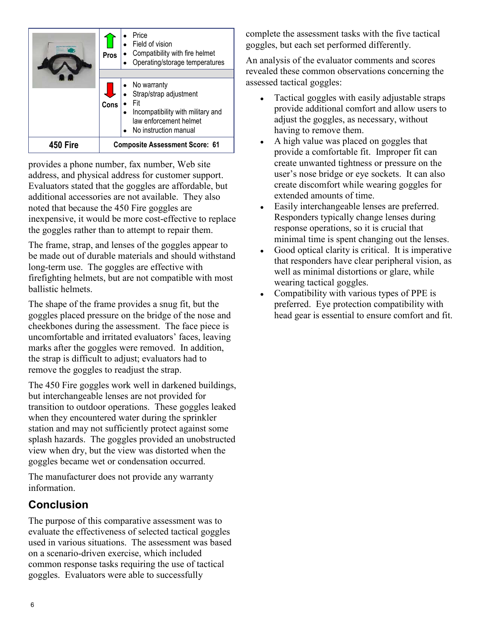|          | Pros                                  | Price<br>Field of vision<br>Compatibility with fire helmet<br>Operating/storage temperatures                                      |  |
|----------|---------------------------------------|-----------------------------------------------------------------------------------------------------------------------------------|--|
|          |                                       |                                                                                                                                   |  |
|          | Cons                                  | • No warranty<br>• Strap/strap adjustment<br>Incompatibility with military and<br>law enforcement helmet<br>No instruction manual |  |
| 450 Fire | <b>Composite Assessment Score: 61</b> |                                                                                                                                   |  |

 address, and physical address for customer support. Evaluators stated that the goggles are affordable, but additional accessories are not available. They also noted that because the 450 Fire goggles are provides a phone number, fax number, Web site inexpensive, it would be more cost-effective to replace the goggles rather than to attempt to repair them.

 The frame, strap, and lenses of the goggles appear to long-term use. The goggles are effective with firefighting helmets, but are not compatible with most be made out of durable materials and should withstand ballistic helmets.

 goggles placed pressure on the bridge of the nose and marks after the goggles were removed. In addition, The shape of the frame provides a snug fit, but the cheekbones during the assessment. The face piece is uncomfortable and irritated evaluators' faces, leaving the strap is difficult to adjust; evaluators had to remove the goggles to readjust the strap.

 but interchangeable lenses are not provided for goggles became wet or condensation occurred. The 450 Fire goggles work well in darkened buildings, transition to outdoor operations. These goggles leaked when they encountered water during the sprinkler station and may not sufficiently protect against some splash hazards. The goggles provided an unobstructed view when dry, but the view was distorted when the

The manufacturer does not provide any warranty information.

# **Conclusion**

 evaluate the effectiveness of selected tactical goggles The purpose of this comparative assessment was to used in various situations. The assessment was based on a scenario-driven exercise, which included common response tasks requiring the use of tactical goggles. Evaluators were able to successfully

complete the assessment tasks with the five tactical goggles, but each set performed differently.

 assessed tactical goggles: An analysis of the evaluator comments and scores revealed these common observations concerning the

- Tactical goggles with easily adjustable straps provide additional comfort and allow users to adjust the goggles, as necessary, without having to remove them.
- provide a comfortable fit. Improper fit can user's nose bridge or eye sockets. It can also create discomfort while wearing goggles for A high value was placed on goggles that create unwanted tightness or pressure on the extended amounts of time.
- Easily interchangeable lenses are preferred. Responders typically change lenses during response operations, so it is crucial that minimal time is spent changing out the lenses.
- wearing tactical goggles. • Good optical clarity is critical. It is imperative that responders have clear peripheral vision, as well as minimal distortions or glare, while
- preferred. Eye protection compatibility with • Compatibility with various types of PPE is head gear is essential to ensure comfort and fit.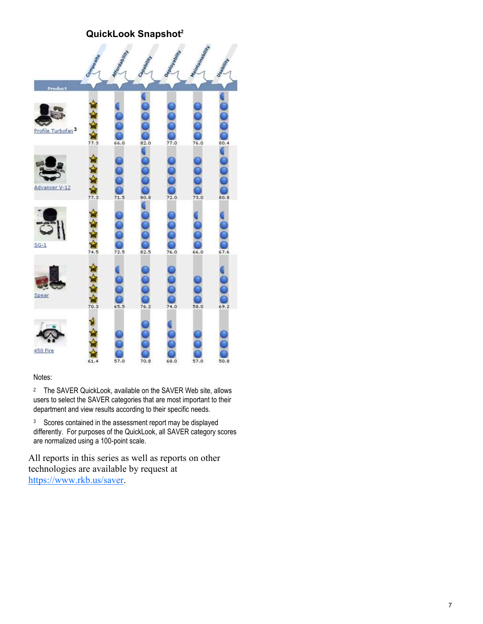#### QuickLook Snapshot $2$



#### Notes:

<sup>2</sup> The SAVER QuickLook, available on the SAVER Web site, allows users to select the SAVER categories that are most important to their department and view results according to their specific needs.

<sup>3</sup> Scores contained in the assessment report may be displayed differently. For purposes of the QuickLook, all SAVER category scores are normalized using a 100-point scale.

 technologies are available by request at All reports in this series as well as reports on other https://www.rkb.us/saver.